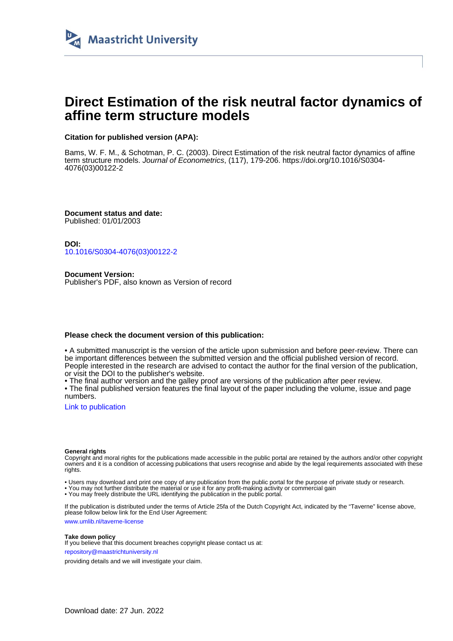

# **Direct Estimation of the risk neutral factor dynamics of affine term structure models**

# **Citation for published version (APA):**

Bams, W. F. M., & Schotman, P. C. (2003). Direct Estimation of the risk neutral factor dynamics of affine term structure models. Journal of Econometrics, (117), 179-206. [https://doi.org/10.1016/S0304-](https://doi.org/10.1016/S0304-4076(03)00122-2) [4076\(03\)00122-2](https://doi.org/10.1016/S0304-4076(03)00122-2)

**Document status and date:** Published: 01/01/2003

**DOI:** [10.1016/S0304-4076\(03\)00122-2](https://doi.org/10.1016/S0304-4076(03)00122-2)

**Document Version:** Publisher's PDF, also known as Version of record

# **Please check the document version of this publication:**

• A submitted manuscript is the version of the article upon submission and before peer-review. There can be important differences between the submitted version and the official published version of record. People interested in the research are advised to contact the author for the final version of the publication, or visit the DOI to the publisher's website.

• The final author version and the galley proof are versions of the publication after peer review.

• The final published version features the final layout of the paper including the volume, issue and page numbers.

[Link to publication](https://cris.maastrichtuniversity.nl/en/publications/5d2f96fc-cb40-4979-9848-37ee84671562)

## **General rights**

Copyright and moral rights for the publications made accessible in the public portal are retained by the authors and/or other copyright owners and it is a condition of accessing publications that users recognise and abide by the legal requirements associated with these rights.

• Users may download and print one copy of any publication from the public portal for the purpose of private study or research.

• You may not further distribute the material or use it for any profit-making activity or commercial gain

• You may freely distribute the URL identifying the publication in the public portal.

If the publication is distributed under the terms of Article 25fa of the Dutch Copyright Act, indicated by the "Taverne" license above, please follow below link for the End User Agreement:

www.umlib.nl/taverne-license

# **Take down policy**

If you believe that this document breaches copyright please contact us at: repository@maastrichtuniversity.nl

providing details and we will investigate your claim.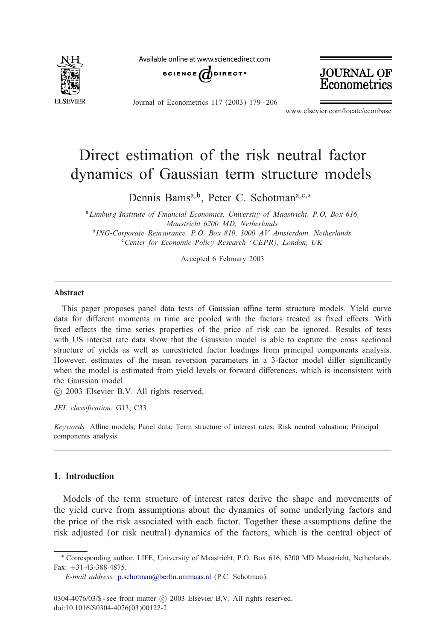

Available online at www sciencedirect com



**JOURNAL OF** Econometrics

Journal of Econometrics 117 (2003) 179 – 206

www.elsevier.com/locate/econbase

# Direct estimation of the risk neutral factor dynamics of Gaussian term structure models

Dennis Bams<sup>a, b</sup>, Peter C. Schotman<sup>a, c,∗</sup>

<sup>a</sup>*Limburg Institute of Financial Economics, University of Maastricht, P.O. Box 616, Maastricht 6200 MD, Netherlands* <sup>b</sup>*ING-Corporate Reinsurance, P.O. Box 810, 1000 AV Amsterdam, Netherlands* <sup>c</sup>*Center for Economic Policy Research (CEPR), London, UK*

Accepted 6 February 2003

#### Abstract

This paper proposes panel data tests of Gaussian affine term structure models. Yield curve data for different moments in time are pooled with the factors treated as fixed effects. With fixed effects the time series properties of the price of risk can be ignored. Results of tests with US interest rate data show that the Gaussian model is able to capture the cross sectional structure of yields as well as unrestricted factor loadings from principal components analysis. However, estimates of the mean reversion parameters in a 3-factor model differ significantly when the model is estimated from yield levels or forward differences, which is inconsistent with the Gaussian model.

c 2003 Elsevier B.V. All rights reserved.

JEL classification: G13; C33

Keywords: Affine models; Panel data; Term structure of interest rates; Risk neutral valuation; Principal components analysis

# 1. Introduction

Models of the term structure of interest rates derive the shape and movements of the yield curve from assumptions about the dynamics of some underlying factors and the price of the [risk](mailto:p.schotman@berfin.unimaas.nl) [associated](mailto:p.schotman@berfin.unimaas.nl) [with](mailto:p.schotman@berfin.unimaas.nl) [each](mailto:p.schotman@berfin.unimaas.nl) factor. Together these assumptions define the risk adjusted (or risk neutral) dynamics of the factors, which is the central object of

<sup>∗</sup> Corresponding author. LIFE, University of Maastricht, P.O. Box 616, 6200 MD Maastricht, Netherlands. Fax: +31-43-388-4875.

*E-mail address:* p.schotman@berfin.unimaas.nl (P.C. Schotman).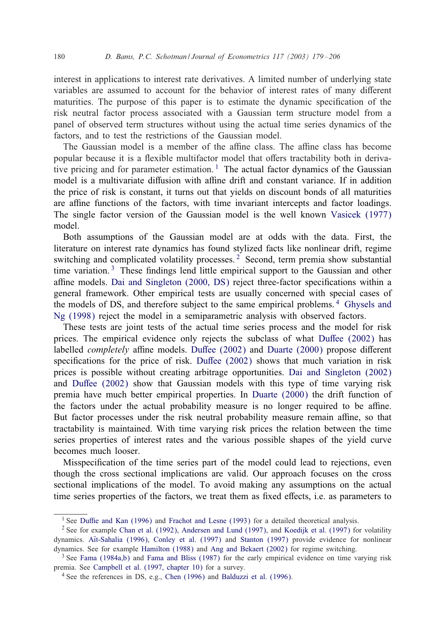interest in applications to interest rate derivatives. A limited number of underlying state variables are assumed to account for the behavior of interest rates of many different maturities. The purpose of this paper is to estimate the dynamic specification of the risk neutral factor process associated with a Gaussian term structure model from a panel of observed term structures without using the actual time series dynamics of the factors, and to test the restrictions of the Gaussian model.

The Gaussian model is a member of the affine class. The affine class has become popular because it is a flexible multifactor model that offers tractabilit[y both in deriva](#page-28-0)tive pricing and for parameter estimation.<sup>1</sup> The actual factor dynamics of the Gaussian model is a multivariate diffusion with affine drift and constant variance. If in addition the price of risk is constant, it turns out that yields on discount bonds of all maturities are affine functions of the factors, with time invariant intercepts and factor loadings. The single fa[ctor](#page-27-0) [version](#page-27-0) [of](#page-27-0) [the](#page-27-0) [Gaussian](#page-27-0) [m](#page-27-0)odel is the well known Vasicek (1977) model.

Both assumptions of the Gaussian model are at odds with the data. First, the literature on interest rate dynamics has found stylized facts like nonlinear [drift, regime](#page-27-0) [switching a](#page-27-0)nd complicated volatility processes.<sup>2</sup> Second, term premia show substantial time variation.<sup>3</sup> These findings lend little empirical support to the Gaussian and other affine models. Dai and Singleton  $(2000, DS)$  reject three-factor specifications within a general framework. Other empiric[al tests are usu](#page-27-0)ally [concerned with](#page-27-0) special cases of the models of DS, and therefore sub[ject to the same](#page-27-0) empirical problems. <sup>4</sup> Ghysels and Ng (1998) reject the model in a semiparametric analysis w[ith observed factors.](#page-27-0)

T[hese tests are jo](#page-27-0)int tests of the actual time series process and the model for risk prices. The empirical evidence only rejects the s[ubclass of wha](#page-27-0)t Duffee  $(2002)$  has labelled *completely* affine models. Duffee (2002) and Duarte (2000) propose different specifications for the price of risk. Duffee  $(2002)$  shows that much variation in risk prices is possible without creating arbitrage opportunities. Dai and Singleton (2002) and Duffee  $(2002)$  show that Gaussian models with this type of time varying risk premia have much better empirical properties. In Duarte (2000) the drift function of the factors under the actual probability measure is no longer required to be affine. But factor processes under the risk neutral probability measure remain affine, so that tractability is maintained. With time varying risk prices the relation between the time series properties of interest rates and the various possible shapes of the yield curve becomes much looser.

Misspecification of the ti[me series part of the m](#page-27-0)odel could lead to rejections, even though the cros[s sectional impl](#page-27-0)[ications are valid. Our](#page-26-0) ap[proach focuses on](#page-28-0) the cross sectional [implications](#page-26-0)[o](#page-26-0)[f](#page-28-0) [the](#page-27-0)[model.](#page-27-0) [To](#page-27-0)[a](#page-27-0)[void](#page-26-0) [making](#page-28-0)[any](#page-28-0) assumptions on the actual time s[eries propertie](#page-27-0)s o[f the factors, we trea](#page-27-0)t them as fixed effects, i.e. as parameters to

<sup>&</sup>lt;sup>1</sup> See Duffie and Kan (1996) and [Frachot and](#page-27-0) Lesne (1993) [for a detailed](#page-26-0) theoretical analysis.

<sup>&</sup>lt;sup>2</sup> See for example Chan et al. (1992), Andersen and Lund (1997), and Koedijk et al. (1997) for volatility dynamics. Aït-Sahalia (1996), Conley et al. (1997) and Stanton (1997) provide evidence for nonlinear dynamics. See for example Hamilton (1988) and Ang and Bekaert (2002) for regime switching.

<sup>&</sup>lt;sup>3</sup> See Fama (1984a,b) and Fama and Bliss (1987) for the early empirical evidence on time varying risk premia. See Campbell et al. (1997, chapter 10) for a survey.

<sup>4</sup> See the references in DS, e.g., Chen (1996) and Balduzzi et al. (1996).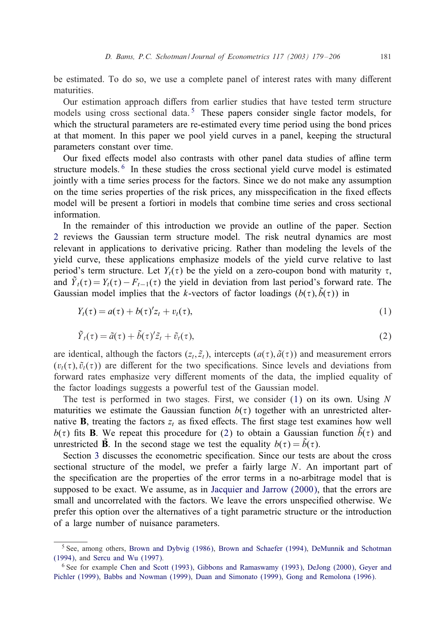be estimated. To do so, we use a complete panel of interest rates with many different maturities.

Our estimation approach differs from earlier studies that have tested term structure models using cross sectional data.<sup>5</sup> These papers consider single factor models, for which the structural parameters are re-estimated every time period using the bond prices at that moment. In this paper we pool yield curves in a panel, keeping the structural parameters constant over time.

Our fixed effects model also contrasts with other panel data studies of affine term structure models.<sup>6</sup> In these studies the cross sectional yield curve model is estimated [jo](#page-4-0)intly witha time series process for the factors. Since we do not make any assumption on the time series properties of the risk prices, any misspecification in the fixed effects model will be present a fortiori in models that combine time series and cross sectional information.

In the remainder of this introduction we provide an outline of the paper. Section 2 reviews the Gaussian term structure model. The risk neutral dynamics are most relevant in applications to derivative pricing. Rather than modeling the levels of the yield curve, these applications emphasize models of the yield curve relative to last period's term structure. Let  $Y_t(\tau)$  be the yield on a zero-coupon bond with maturity  $\tau$ , and  $\tilde{Y}_t(\tau) = Y_t(\tau) - F_{t-1}(\tau)$  the yield in deviation from last period's forward rate. The Gaussian model implies that the k-vectors of factor loadings  $(b(\tau), \tilde{b}(\tau))$  in

$$
Y_t(\tau) = a(\tau) + b(\tau)'z_t + v_t(\tau), \qquad (1)
$$

$$
\tilde{Y}_t(\tau) = \tilde{a}(\tau) + \tilde{b}(\tau)' \tilde{z}_t + \tilde{v}_t(\tau),
$$
\n(2)

are identical, although the factors  $(z_t, \tilde{z}_t)$ , intercepts  $(a(\tau), \tilde{a}(\tau))$  and measurement errors  $(v_t(\tau), \tilde{v}_t(\tau))$  are different for the two specifications. Since levels and deviations from forward rates emphasize very different moments of the data, the implied equality of the factor loadings suggests a powerful test of the Gaussian model.

The [t](#page-6-0)est [i](#page-6-0)s performed in two stages. First, we consider  $(1)$  on its own. Using N maturities we estimate the Gaussian function  $b(\tau)$  together with an unrestricted alternative **B**, treating the factors  $z_t$  as fixed effects. The first stage test examines how well  $b(\tau)$  fits **B**. We repeat this procedure f[or \(2\) to obtain a Gaussian](#page-28-0) function  $\overline{b}(\tau)$  and unrestricted **B**. In the second stage we test the equality  $b(\tau) = \tilde{b}(\tau)$ .

Section 3 discusses the econometric specification. Since our tests are about the cross sectional structure of the model, we prefer a fairly large N. An important part of the specification are the properties of the error terms in a no-arbitrage model that is supposed to be exa[ct. We assume, as in](#page-27-0) J[acquier and Jarrow \(2000\), that the errors are](#page-27-0) [small](#page-27-0) and [uncorrelated with](#page-28-0) the factors. We leave the errors unspecified otherwise. We prefer this optio[n](#page-27-0) [over](#page-27-0) [the](#page-27-0) [alternatives of a tight parametric structure or the introduction](#page-27-0) [of](#page-27-0) [a](#page-27-0) [large](#page-27-0) [n](#page-27-0)[umber](#page-26-0) [of](#page-26-0) [nuisance](#page-26-0) [para](#page-26-0)meters.

<sup>5</sup> See, among others, Brown and Dybvig (1986), Brown and Schaefer (1994), DeMunnik and Schotman (1994), and Sercu and Wu (1997).

<sup>6</sup> See for example Chen and Scott (1993), Gibbons and Ramaswamy (1993), DeJong (2000), Geyer and Pichler (1999), Babbs and Nowman (1999), Duan and Simonato (1999), Gong and Remolona (1996).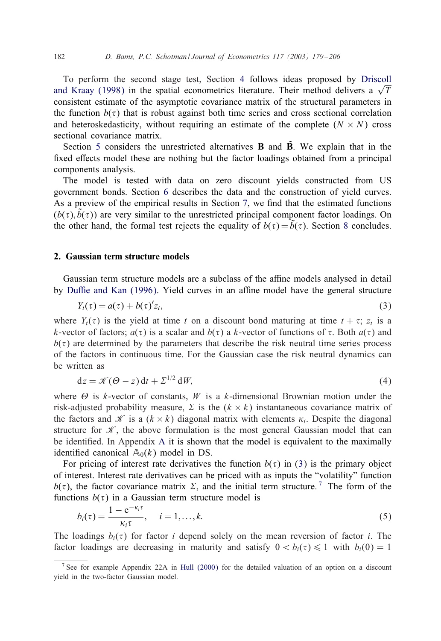<span id="page-4-0"></span>To perform the second stage test, Section 4 follows ideas proposed by Driscoll and Kraay [\(](#page-10-0)1998) in the spatial econometrics literature. Their method delivers a  $\sqrt{T}$ consistent estimate of the asymptotic covariance matrix of the structural parameters in the function  $b(\tau)$  that is robust against both time series and cross sectional correlation and heteroskedasticity, with[ou](#page-12-0)t requiring an estimate of the complete  $(N \times N)$  cross sectional covariance matrix.

Section 5 considers the unrestricted alternati[ve](#page-15-0)s  $\bf{B}$  and  $\bf{B}$ . We explain that in the fixed effects [m](#page-22-0)odel these are nothing but the factor loadings obtained from a principal components analysis.

The model is tested with data on zero discount yields constructed from US government bonds. Section 6 describes the data and the construction of yield curves. As a preview of the empirical results in Section 7, we find that the estimated functions  $(b(\tau), \dot{b}(\tau))$  are very similar to the unrestricted principal component factor loadings. On the [other hand, the formal](#page-27-0) test rejects the equality of  $b(\tau) = b(\tau)$ . Section 8 concludes.

## 2. Gaussian term structure models

Gaussian term structure models are a subclass of the affine models analysed in detail by Duffie and Kan (1996). Yield curves in an affine model have the general structure

$$
Y_t(\tau) = a(\tau) + b(\tau)'z_t,
$$
\n(3)

where  $Y_t(\tau)$  is the yield at time t on a discount bond maturing at time  $t + \tau$ ;  $z_t$  is a k-vector of factors;  $a(\tau)$  is a scalar and  $b(\tau)$  a k-vector of functions of  $\tau$ . Both  $a(\tau)$  and  $b(\tau)$  are determined by the parameters that describe the risk neutral time series process of the factors in continuous time. For the Gaussian case the risk neutral dynamics can be written as

$$
dz = \mathcal{K}(\Theta - z) dt + \Sigma^{1/2} dW,
$$
 (4)

where  $\Theta$  is k-vector of constants, W is a k-dimensional Brownian motion under the risk-adjusted probability measure,  $\Sigma$  is the  $(k \times k)$  instantaneous covariance matrix of the factors and  $\mathcal{K}$  is a  $(k \times k)$  diagonal matrix with elements  $\kappa_i$ . Despite the diagonal structure for  $\mathcal{K}$ , the above formulation is the most general Gaussian model that can be identified. In Appendix  $A$  it is shown that the model is equivalent to the maximally identified canonical  $\mathbb{A}_0(k)$  model in DS.

For pricing of interest rate derivatives the function  $b(\tau)$  in (3) is the primary object of interest. Interest rate derivatives can be priced withas inputs the "volatility" function  $b(\tau)$ , the factor covariance matrix  $\Sigma$ , and the initial term structure.<sup>7</sup> The form of the functions  $b(\tau)$  in a Gaussian term structure model is

$$
b_i(\tau) = \frac{1 - e^{-\kappa_i \tau}}{\kappa_i \tau}, \quad i = 1, \dots, k. \tag{5}
$$

The loadings  $b_i(\tau)$  for factor i depend solely on the mean reversion of factor i. The factor loadings are decreasing in maturity and satisfy  $0 < b_i(\tau) \le 1$  with  $b_i(0) = 1$ 

<sup>7</sup> See for example Appendix 22A in Hull (2000) for the detailed valuation of an option on a discount yield in the two-factor Gaussian model.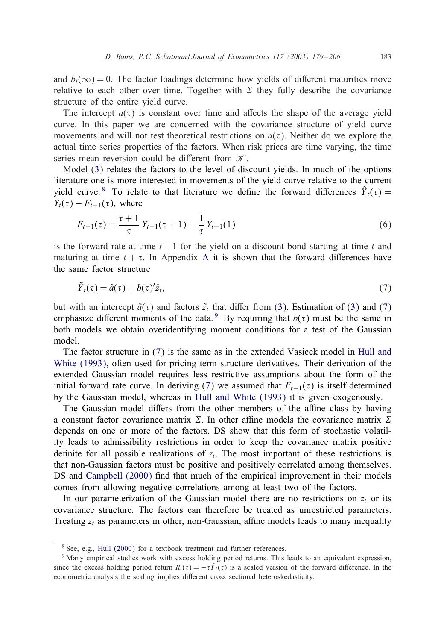<span id="page-5-0"></span>and  $b_i(\infty) = 0$ . The factor loadings determine how yields of different maturities move relative to each other over time. Together with  $\Sigma$  they fully describe the covariance structure of the entire yield curve.

The int[erc](#page-4-0)ept  $a(\tau)$  is constant over time and affects the shape of the average yield curve. In this paper we are concerned with the covariance structure of yield curve movements and will not test theoretical restrictions on  $a(\tau)$ . Neither do we explore the actual time series properties of the factors. When risk prices are time varying, the time series mean reversion could be different from  $K$ .

Model (3) relates the factors to the level of discount yields. In much of the options literature one is more interested in movements of the yield curve relative to the current yield curve. <sup>8</sup> To relate to that liter[atur](#page-24-0)e we define the forward differences  $\tilde{Y}_t(\tau) =$  $Y_t(\tau) - F_{t-1}(\tau)$ , where

$$
F_{t-1}(\tau) = \frac{\tau+1}{\tau} Y_{t-1}(\tau+1) - \frac{1}{\tau} Y_{t-1}(1)
$$
\n(6)

is the forward rate at [ti](#page-4-0)me  $t - 1$  for the yield on a discou[nt](#page-4-0) bond starting at time t and maturing at time  $t + \tau$ . In Appendix A it is shown that the forward differences have the same factor structure

$$
\tilde{Y}_t(\tau) = \tilde{a}(\tau) + b(\tau)^t \tilde{z}_t,\tag{7}
$$

but with an intercept  $\tilde{a}(\tau)$  and factors  $\tilde{z}_t$  that differ from (3). Estimation of (3) and (7) emphasize different moments of the data. <sup>9</sup> By requiring that  $b(\tau)$  must be the same in both models we obtain overidentif[ying](#page-28-0) [moment](#page-28-0) [conditions](#page-28-0) for a test of the Gaussian model.

The factor structure in (7) is the same as in the extended Vasicek model in Hull and White (1993), often used for pricing term structure derivatives. Their derivation of the extended Gaussian model requires less restrictive assumptions about the form of the initial forward rate curve. In deriving (7) we assumed that  $F_{t-1}(\tau)$  is itself determined by the Gaussian model, whereas in Hull and White (1993) it is given exogenously.

The Gaussian model differs from the other members of the affine class by having a const[ant factor covarian](#page-27-0)ce matrix  $\Sigma$ . In other affine models the covariance matrix  $\Sigma$ depends on one or more of the factors. DS show that this form of stochastic volatility leads to admissibility restrictions in order to keep the covariance matrix positive definite for all possible realizations of  $z_t$ . The most important of these restrictions is that non-Gaussian factors must be positive and positively correlated among themselves. DS and Campbell (2000) find that much of the empirical improvement in their models comes fro[m allowing](#page-28-0) negative correlations among at least two of the factors.

In our parameterization of the Gaussian model there are no restrictions on  $z_t$  or its covariance structure. The factors can therefore be treated as unrestricted parameters. Treating  $z_t$  as parameters in other, non-Gaussian, affine models leads to many inequality

<sup>8</sup> See, e.g., Hull (2000) for a textbook treatment and further references.

<sup>&</sup>lt;sup>9</sup> Many empirical studies work with excess holding period returns. This leads to an equivalent expression, since the excess holding period return  $R_t(\tau) = -\tau \tilde{Y}_t(\tau)$  is a scaled version of the forward difference. In the econometric analysis the scaling implies different cross sectional heteroskedasticity.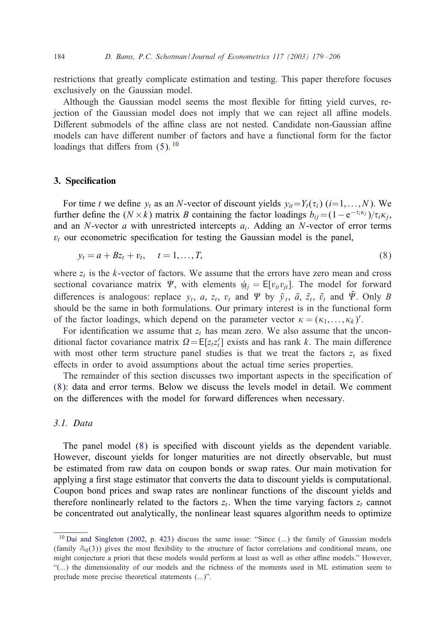<span id="page-6-0"></span>restrictions that greatly complicate estimation and testing. This paper therefore focuses exclusively on the Gaussia[n](#page-4-0) model.

Although the Gaussian model seems the most Hexible for 1tting yield curves, rejection of the Gaussian model does not imply that we can reject all affine models. Different submodels of the affine class are not nested. Candidate non-Gaussian affine models can have different number of factors and have a functional form for the factor loadings that differs from  $(5)$ . <sup>10</sup>

#### 3. Specification

For time t we define  $y_t$  as an N-vector of discount yields  $y_{it}=Y_t(\tau_i)$  ( $i=1,\ldots,N$ ). We further define the  $(N \times k)$  matrix B containing the factor loadings  $b_{ij} = (1 - e^{-\tau_i \kappa_j})/\tau_i \kappa_j$ , and an N-vector  $a$  with unrestricted intercepts  $a_i$ . Adding an N-vector of error terms  $v_t$  our econometric specification for testing the Gaussian model is the panel,

$$
y_t = a + Bz_t + v_t, \quad t = 1, ..., T,
$$
\n(8)

where  $z_t$  is the k-vector of factors. We assume that the errors have zero mean and cross sectional covariance matrix  $\Psi$ , with elements  $\psi_{ij} = E[v_{it}v_{jt}]$ . The model for forward differences is analogous: replace  $y_t$ , a,  $z_t$ ,  $v_t$  and  $\Psi$  by  $\tilde{y}_t$ ,  $\tilde{a}$ ,  $\tilde{z}_t$ ,  $\tilde{v}_t$  and  $\tilde{\Psi}$ . Only B should be the same in both formulations. Our primary interest is in the functional form of the factor loadings, which depend on the parameter vector  $\kappa = (\kappa_1, \dots, \kappa_k)'$ .

For identification we assume that  $z_t$  has mean zero. We also assume that the unconditional factor covariance matrix  $\Omega = E[z_t z_t']$  exists and has rank k. The main difference with most other term structure panel studies is that we treat the factors  $z_t$  as fixed effects in order to avoid assumptions about the actual time series properties.

The remainder of this section discusses two important aspects in the specification of (8): data and error terms. Below we discuss the levels model in detail. We comment on the differences with the model for forward differences when necessary.

## *3.1. Data*

The panel model  $(8)$  is specified with discount yields as the dependent variable. However, discount yields for longer maturities are not directly observable, but must be estimated from raw data on coupon bonds or swap rates. Our main motivation for applying a first stage estimator that converts the data to discount yields is computational. Coupon bond prices and swap rates are nonlinear functions of the discount yields and therefore nonlinearly related to the factors  $z_t$ . When the time varying factors  $z_t$  cannot be concentrated out analytically, the nonlinear least squares algorithm needs to optimize

<sup>&</sup>lt;sup>10</sup> Dai and Singleton (2002, p. 423) discuss the same issue: "Since (...) the family of Gaussian models (family  $A_0(3)$ ) gives the most flexibility to the structure of factor correlations and conditional means, one might conjecture a priori that these models would perform at least as well as other affine models." However, "(...) the dimensionality of our models and the richness of the moments used in ML estimation seem to preclude more precise theoretical statements (...)".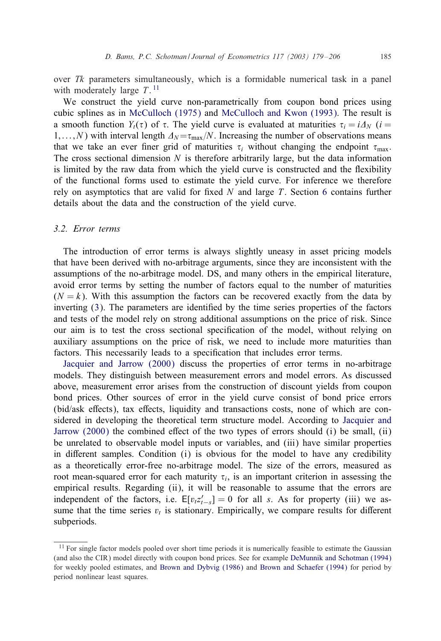over  $Tk$  parameters simultaneously, which is a formidable numerical task in a panel with moderately large  $T$ . <sup>11</sup>

We construct the yield curve non-parametrically from coupon bond prices using cubic splines as in McCulloch(1975) and McCullochand Kwon (1993). The result is a smooth function  $Y_t(\tau)$  of  $\tau$ . The yield curve is evaluated at maturities  $\tau_i = i\Lambda_N$  (i =  $1,...,N$ ) with interval length  $\Delta_N = \tau_{\text{max}}/N$ . Increasing the number of [obs](#page-12-0)ervations means that we take an ever finer grid of maturities  $\tau_i$  without changing the endpoint  $\tau_{\text{max}}$ . The cross sectional dimension  $N$  is therefore arbitrarily large, but the data information is limited by the raw data from which the yield curve is constructed and the Hexibility of the functional forms used to estimate the yield curve. For inference we therefore rely on asymptotics that are valid for fixed  $N$  and large  $T$ . Section 6 contains further details about the data and the construction of the yield curve.

# *3.2. Error terms*

The int[ro](#page-4-0)duction of error terms is always slightly uneasy in asset pricing models that have been derived with no-arbitrage arguments, since they are inconsistent with the assumptions of the no-arbitrage model. DS, and many others in the empirical literature, avoid error terms by setting the number of factors equal to the number of maturities  $(N = k)$ . With this assumption the factors can be recovered exactly from the data by inverting  $(3)$ . The parameters are identified by the time series properties of the factors and tests of the model rely on strong additional assumptions on the price of risk. Since our aim is to test the cross sectional specification of the model, without relying on auxiliary assumptions on the price of risk, we need to include more maturities than factors. This necessarily leads to a specification that includes error terms.

Jacquier and Jarrow (2000) discuss the properties of error terms in [no-arbitrage](#page-28-0) [models. They d](#page-28-0)istinguish between measurement errors and model errors. As discussed above, measurement error arises from the construction of discount yields from coupon bond prices. Other sources of error in the yield curve consist of bond price errors (bid/ask effects), tax effects, liquidity and transactions costs, none of which are considered in developing the theoretical term structure model. According to Jacquier and Jarrow  $(2000)$  the combined effect of the two types of errors should  $(i)$  be small,  $(ii)$ be unrelated to observable model inputs or variables, and (iii) have similar properties in different samples. Condition  $(i)$  is obvious for the model to have any credibility as a theoretically error-free no-arbitrage model. The size of the errors, measured as root mean-squared error for each maturity  $\tau_i$ , is an important criterion in assessing the empirical results. Regarding (ii), it will be reasonable to assume that the errors are independent of the factors, i.e.  $E[v_t z_{t-s}'] = 0$  for all s. As [for property \(iii\) we as](#page-27-0)sume that the time series  $v_t$  [is stationary. Empiric](#page-27-0)all[y, we compare results f](#page-27-0)or different subperiods.

<sup>&</sup>lt;sup>11</sup> For single factor models pooled over short time periods it is numerically feasible to estimate the Gaussian (and also the CIR) model directly with coupon bond prices. See for example DeMunnik and Schotman (1994) for weekly pooled estimates, and Brown and Dybvig (1986) and Brown and Schaefer (1994) for period by period nonlinear least squares.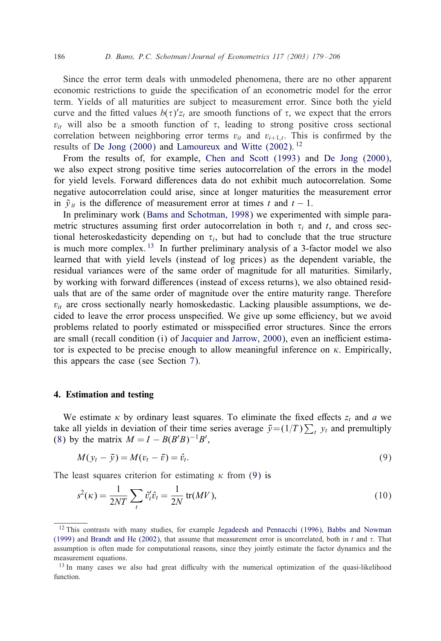<span id="page-8-0"></span>Since the error term deals with unmodeled phenomena, there are no other apparent economic [restrictions to gu](#page-27-0)ide the specification of an econometric model for the error term. Yields of all maturities are sub[ject to measurement error](#page-27-0). Since both the yield curve and the fitted values  $b(\tau)z_t$  are smooth functions of  $\tau$ , we expect that the errors  $v_{it}$  will also be a smooth function of  $\tau$ , leading to strong positive cross sectional correlation between neighboring error terms  $v_{it}$  and  $v_{i+1,t}$ . This is confirmed by the results of De Jong (2000) and Lamoureux and Witte (2002). <sup>12</sup>

From the results of, [for example,](#page-26-0) Chen and Scott (1993) and De Jong (2000), we also expect strong positive time series autocorrelation of the errors in the model for yield levels. Forward differences data do not exhibit much autocorrelation. Some negative autocorrelation could arise, since at longer maturities the measurement error in  $\tilde{y}_{it}$  is the difference of measurement error at times t and  $t - 1$ .

In preliminary work (Bams and Schotman, 1998) we experimented with simple parametric structures assuming first order autocorrelation in both  $\tau_i$  and t, and cross sectional heteroskedasticity depending on  $\tau_i$ , but had to conclude that the true structure is much more complex.  $^{13}$  In further preliminary analysis of a 3-factor model we also learned that with yield levels (instead of log prices) as the dependent variable, the residual variances were of the same order of magnitude for all maturities. Similarly, by working with forward differe[nces \(instead of excess retur](#page-28-0)ns), we also obtained residuals that are of the same order of magnitude over the entire maturity range. Therefore  $v_{it}$  are cross sectionally nearly ho[mo](#page-15-0)skedastic. Lacking plausible assumptions, we decided to leave the error process unspecified. We give up some efficiency, but we avoid problems related to poorly estimated or misspecified error structures. Since the errors are small (recall condition  $(i)$  of Jacquier and Jarrow, 2000), even an inefficient estimator is expected to be precise enough to allow meaningful inference on  $\kappa$ . Empirically, this appears the case (see Section 7).

#### 4. Estimation and testing

We estimate  $\kappa$  by ordinary least squares. To eliminate the fixed effects  $z_t$  and a we take all yields in deviation of their time series average  $\bar{y} = (1/T) \sum_t y_t$  and premultiply (8) by the matrix  $M = I - B(B'B)^{-1}B'$ ,

$$
M(y_t - \bar{y}) = M(v_t - \bar{v}) = \hat{v}_t.
$$
\n(9)

The least [squares criterion f](#page-27-0)or estimating  $\kappa$  [from](#page-28-0) [\(9\)](#page-28-0) [is](#page-28-0)

$$
s^{2}(\kappa) = \frac{1}{2NT} \sum_{t} \hat{v}_{t}^{\prime} \hat{v}_{t} = \frac{1}{2N} \operatorname{tr}(MV), \tag{10}
$$

<sup>&</sup>lt;sup>12</sup> This contrasts with many studies, for example Jegadeesh and Pennacchi (1996), Babbs and Nowman (1999) and Brandt and He (2002), that assume that measurement error is uncorrelated, both in t and  $\tau$ . That assumption is often made for computational reasons, since they jointly estimate the factor dynamics and the measurement equations.

<sup>&</sup>lt;sup>13</sup> In many cases we also had great difficulty with the numerical optimization of the quasi-likelihood function.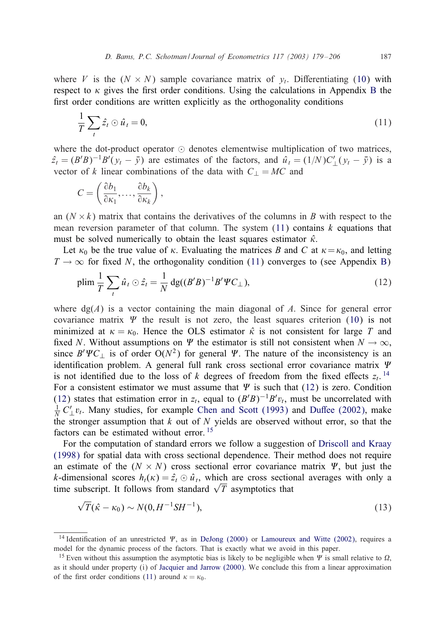<span id="page-9-0"></span>where V is the  $(N \times N)$  sample covariance matrix of  $y_t$ . Differentiating (10) with respect to  $\kappa$  gives the first order conditions. Using the calculations in Appendix B the first order conditions are written explicitly as the orthogonality conditions

$$
\frac{1}{T}\sum_{t}\hat{z}_t\odot\hat{u}_t=0,\tag{11}
$$

where the dot-product operator  $\odot$  denotes elementwise multiplication of two matrices,  $\hat{z}_t = (B'B)^{-1}B'(y_t - \bar{y})$  are estimates of the factors, and  $\hat{u}_t = (1/N)C'_{\perp}(y_t - \bar{y})$  is a vector of k linear combinations of the data with  $C_{\perp} = MC$  and

$$
C=\left(\frac{\partial b_1}{\partial \kappa_1},\ldots,\frac{\partial b_k}{\partial \kappa_k}\right),\,
$$

an  $(N \times k)$  matrix that contains the derivatives of the columns in B with respect to the mean reversion parameter of that column. The system  $(11)$  contains k equations that must be solved numerically to obtain the least squares estimator  $\hat{\kappa}$ .

Let  $\kappa_0$  be the true value of  $\kappa$ . Evaluating the matrices B and C at  $\kappa = \kappa_0$ , and letting  $T \rightarrow \infty$  for fixed N, the orthogonality condition (11) converges to (see A[ppe](#page-8-0)ndix B)

$$
\text{plim}\,\frac{1}{T}\sum_{t}\hat{u}_t\odot\hat{z}_t=\frac{1}{N}\,\text{dg}((B'B)^{-1}B'\Psi C_\perp),\tag{12}
$$

where  $dg(A)$  is a vector containing the main diagonal of A. Since for general error covariance matrix  $\Psi$  the result is not zero, the least squares criterion (10) is not minimized at  $\kappa = \kappa_0$ . Hence the OLS estimator  $\hat{\kappa}$  is not consistent for large T and fixed N. Without assumptions on  $\Psi$  the estimator is still not consistent when  $N \to \infty$ , since  $B' \Psi C_{\perp}$  is of order  $O(N^2)$  for general  $\Psi$ [. The nature](#page-27-0) of t[he inconsistency](#page-27-0) is an identification problem. A general full rank cross sectional error covariance matrix  $\Psi$ is not identified due to the loss of k degrees of freedom from the fixed effects  $z_t$ . <sup>14</sup> For a consistent estimator we must assume that  $\Psi$  is such that (12[\) is zero. Condition](#page-27-0) [\(12\) sta](#page-27-0)tes that estimation error in  $z_t$ , equal to  $(B'B)^{-1}B'v_t$ , must be uncorrelated with  $\frac{1}{N} C'_{\perp} v_t$ . Many studies, for example Chen and Scott (1993) and Duffee (2002), make the stronger assumption that  $k$  out of  $N$  yields are observed without error, so that the factors can be estimated without error. <sup>15</sup>

For the computation of standard errors we follow a suggestion of Driscoll and Kraay (1998) for spatial data with cross sectional dependence. Their method does not require an estimate of the  $(N \times N)$  cross sectional error covariance matrix  $\Psi$ , but just the k-dimensional scores  $h_t(\kappa) = \hat{z}_t \odot \hat{u}_t$ , which are cro[ss sectional averages wit](#page-28-0)h only a time subscript. It follows from standard  $\sqrt{T}$  asymptotics that

$$
\sqrt{T}(\hat{\kappa} - \kappa_0) \sim N(0, H^{-1} S H^{-1}),
$$
\n(13)

<sup>&</sup>lt;sup>14</sup> Identification of an unrestricted  $\Psi$ , as in DeJong (2000) or Lamoureux and Witte (2002), requires a model for the dynamic process of the factors. That is exactly what we avoid in this paper.

<sup>&</sup>lt;sup>15</sup> Even without this assumption the asymptotic bias is likely to be negligible when  $\Psi$  is small relative to  $\Omega$ , as it should under property (i) of Jacquier and Jarrow (2000). We conclude this from a linear approximation of the first order conditions (11) around  $\kappa = \kappa_0$ .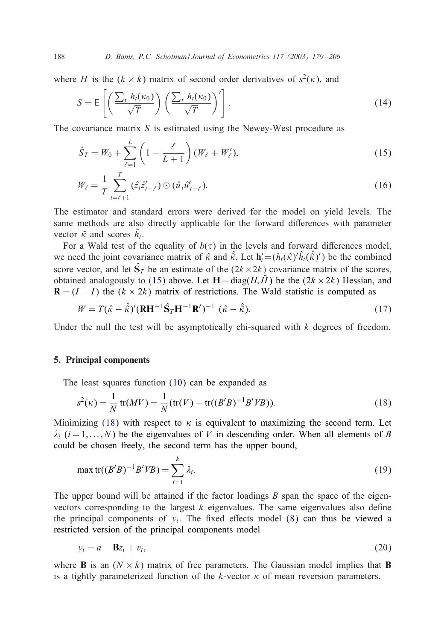### <span id="page-10-0"></span>188 *D. Bams, P.C. Schotman / Journal of Econometrics 117 (2003) 179 – 206*

where H is the  $(k \times k)$  matrix of second order derivatives of  $s^2(k)$ , and

$$
S = \mathsf{E}\left[\left(\frac{\sum_{t} h_t(\kappa_0)}{\sqrt{T}}\right) \left(\frac{\sum_{t} h_t(\kappa_0)}{\sqrt{T}}\right)'\right].\tag{14}
$$

The covariance matrix  $S$  is estimated using the Newey-West procedure as

$$
\hat{S}_T = W_0 + \sum_{\ell=1}^L \left( 1 - \frac{\ell}{L+1} \right) (W_\ell + W'_\ell),\tag{15}
$$

$$
W_{\ell} = \frac{1}{T} \sum_{t=\ell+1}^{T} (\hat{z}_t \hat{z}'_{t-\ell}) \odot (\hat{u}_t \hat{u}'_{t-\ell}).
$$
\n(16)

The estimator and standard errors were derived for the model on yield levels. The same methods are also directly applicable for the forward differences with parameter vector  $\tilde{\kappa}$  and scores  $\tilde{h}_t$ .

For a Wald test of the equality of  $b(\tau)$  in the levels and forward differences model, we need the joint covariance matrix of  $\hat{\kappa}$  and  $\hat{\tilde{\kappa}}$ . Let  $\mathbf{h}'_t = (h_t(\hat{\kappa})' \tilde{h}_t(\hat{\tilde{\kappa}})')$  be the combined score vector, and let  $\hat{S}_T$  be an estimate of the  $(2k \times 2k)$  covariance matrix of the scores, obtained analogously to (15) above. Let  $H = diag(H, \tilde{H})$  be the  $(2k \times 2k)$  Hessian, and  $\mathbf{R} = (I - I)$  the  $(k \times 2k)$  matrix of restrictions. The Wald statistic is computed as

$$
W = T(\hat{\kappa} - \hat{\tilde{\kappa}})'(\mathbf{R} \mathbf{H}^{-1} \hat{\mathbf{S}}_T \mathbf{H}^{-1} \mathbf{R}')^{-1} (\hat{\kappa} - \hat{\tilde{\kappa}}).
$$
 (17)

Und[e](#page-8-0)r the null the test will be [as](#page-8-0)ymptotically chi-squared with  $k$  degrees of freedom.

#### 5. Principal components

The least squares function (10) can be expanded as

$$
s^{2}(\kappa) = \frac{1}{N} \operatorname{tr}(MV) = \frac{1}{N} (\operatorname{tr}(V) - \operatorname{tr}((B'B)^{-1}B'VB)).
$$
 (18)

Minimizing (18) with respect to  $\kappa$  is equivalent to maximizing the second term. Let  $\lambda_i$  (i = 1,..., N) be the eigenvalues of V in descending order. When all elements of B could be chosen freely, the second term has the upper bound,

$$
\max \text{tr}((B'B)^{-1}B'VB) = \sum_{i=1}^{k} \lambda_i.
$$
 (19)

The upper bound will be attained if the factor loadings  $B$  span the space of the eigenvectors corresponding to the largest  $k$  eigenvalues. The same eigenvalues also define the principal components of  $y_t$ . The fixed effects model (8) can thus be viewed a restricted version of the principal components model

$$
y_t = a + \mathbf{B}z_t + v_t,\tag{20}
$$

where **B** is an  $(N \times k)$  matrix of free parameters. The Gaussian model implies that **B** is a tightly parameterized function of the  $k$ -vector  $\kappa$  of mean reversion parameters.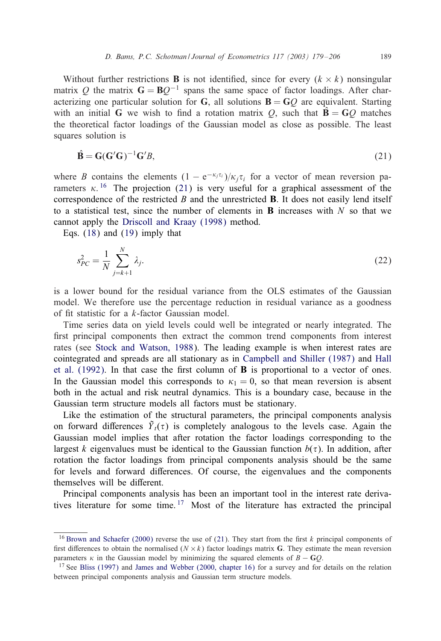<span id="page-11-0"></span>Without further restrictions **B** is not identified, since for every  $(k \times k)$  nonsingular matrix Q the matrix  $G = BQ^{-1}$  spans the same space of factor loadings. After characterizing one particular solution for G, all solutions  $\mathbf{B} = \mathbf{G}\mathbf{O}$  are equivalent. Starting with an initial G we wish to find a rotation matrix Q, such that  $\hat{\mathbf{B}} = \mathbf{G}Q$  matches the theoretical factor loadings of the Gaussian model as close as possible. The least squares solution is

$$
\hat{\mathbf{B}} = \mathbf{G}(\mathbf{G}'\mathbf{G})^{-1}\mathbf{G}'B,\tag{21}
$$

where B [co](#page-10-0)ntains [th](#page-10-0)e elements  $(1 - e^{-\kappa_j \tau_i})/\kappa_j \tau_i$  for a vector of mean reversion parameters  $\kappa$ . <sup>16</sup> The projection (21) is very useful for a graphical assessment of the correspondence of the restricted  $\bm{B}$  and the unrestricted  $\bm{B}$ . It does not easily lend itself to a statistical test, since the number of elements in **B** increases with  $N$  so that we cannot apply the Driscoll and Kraay (1998) method.

Eqs. (18) and (19) imply that

$$
s_{PC}^2 = \frac{1}{N} \sum_{j=k+1}^{N} \lambda_j.
$$
 (22)

is a lower [bound for the residual v](#page-28-0)ariance from the OLS estimates of the Gaussian model. We t[herefore use the percentage reducti](#page-28-0)[on in residual variance as a](#page-27-0) [good](#page-28-0)ness of fit statistic for a  $k$ -factor Gaussian model.

Time series data on yield levels could well be integrated or nearly integrated. The first principal components then extract the common trend components from interest rates (see Stock and Watson, 1988). The leading example is when interest rates are cointegrated and spreads are all stationary as in Campbell and Shiller (1987) and Hall et al.  $(1992)$ . In that case the first column of **B** is proportional to a vector of ones. In the Gaussian model this corresponds to  $\kappa_1 = 0$ , so that mean reversion is absent both in the actual and risk neutral dynamics. This is a boundary case, because in the Gaussian term structure models all factors must be stationary.

Like the estimation of the structural parameters, the principal components analysis on forward differences  $\tilde{Y}_t(\tau)$  is completely analogous to the levels case. Again the Gaussian model implies that after rotation the factor loadings corresponding to the largest k eigenvalues must be identical to the Gaussian function  $b(\tau)$ . In addition, after rotation the factor loadings from principal components analysis should be the same for levels and forward differences. Of course, the eigenvalues and the components themselves will be different.

Principal components analysis has been an important tool in the interest rate derivatives [literature fo](#page-27-0)r some time.<sup>17</sup> [Most of the lite](#page-28-0)rature has extracted the principal

<sup>&</sup>lt;sup>16</sup> Brown and Schaefer (2000) reverse the use of (21). They start from the first k principal components of first differences to obtain the normalised ( $N \times k$ ) factor loadings matrix **G**. They estimate the mean reversion parameters  $\kappa$  in the Gaussian model by minimizing the squared elements of  $B - GO$ .

<sup>&</sup>lt;sup>17</sup> See Bliss (1997) and James and Webber (2000, chapter 16) for a survey and for details on the relation between principal components analysis and Gaussian term structure models.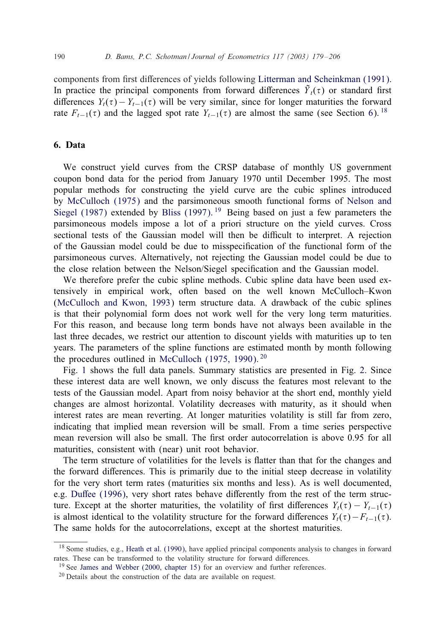<span id="page-12-0"></span>components from first differences of yields following Litterman and Scheinkman (1991). In practice the principal components from forward differences  $\tilde{Y}_t(\tau)$  or standard first differences  $Y_t(\tau) - Y_{t-1}(\tau)$  will be very similar, since for longer maturities the forward rate  $F_{t-1}(\tau)$  and the lagged spot rate  $Y_{t-1}(\tau)$  are almost the same (see Section 6). <sup>18</sup>

# [6.](#page-28-0) [Data](#page-28-0)

We construct yield curves from the CRSP database of monthly US government coupon bond data for the period from January 1970 until December 1995. The most popular methods for constructing the yield curve are the cubic splines introduced by McCulloch(1975) and the parsimoneous smooth functional forms of Nelson and Siegel (1987) extended by Bliss (1997). <sup>19</sup> Being based on just a few parameters the parsimoneous models impose a lot of a priori structure on the yield curves. Cross sectional tests of the Gaussian model will then be difficult to interpret. A rejection [of the Gaussian model could b](#page-28-0)e due to misspecification of the functional form of the parsimoneous curves. Alternatively, not rejecting the Gaussian model could be due to the close relation between the Nelson/Siegel specification and the Gaussian model.

We therefore prefer the cubic spline methods. Cubic spline data have been used extensively in empirical work, often based on the well known McCulloch–Kwon (McCulloch and Kwon, 1[993\) term structure data.](#page-28-0) A drawback of the cubic splines is that [th](#page-13-0)eir polynomial form does not work well for the very long term [mat](#page-14-0)urities. For this reason, and because long term bonds have not always been available in the last three decades, we restrict our attention to discount yields with maturities up to ten years. The parameters of the spline functions are estimated month by month following the procedures outlined in McCulloch (1975, 1990).  $20$ 

Fig. 1 shows the full data panels. Summary statistics are presented in Fig. 2. Since these interest data are well known, we only discuss the features most relevant to the tests of the Gaussian model. Apart from noisy behavior at the short end, monthly yield changes are almost horizontal. Volatility decreases with maturity, as it should when interest rates are mean reverting. At longer maturities volatility is still far from zero, indicating that implied mean reversion will be small. From a time series perspective mea[n reversion wil](#page-27-0)l also be small. The first order autocorrelation is above 0.95 for all maturities, consistent with (near) unit root behavior.

The term structure of volatilities for the levels is Hatter than that for the changes and the forward differences. This is primarily due to the initial steep decrease in volatility for the very short term rates (maturities six months and less). As is well documented, e.g. Duffee (1996[\),](#page-28-0) [very](#page-28-0) [short](#page-28-0) [rate](#page-28-0)s behave differently from the rest of the term struc-ture. [Except at the shorter maturities,](#page-28-0) the volatility of first differences  $Y_t(\tau) - Y_{t-1}(\tau)$ is almost identical to the volatility structure for the forward differences  $Y_t(\tau) - F_{t-1}(\tau)$ . The same holds for the autocorrelations, except at the shortest maturities.

<sup>&</sup>lt;sup>18</sup> Some studies, e.g., Heath et al. (1990), have applied principal components analysis to changes in forward rates. These can be transformed to the volatility structure for forward differences.

<sup>&</sup>lt;sup>19</sup> See James and Webber (2000, chapter 15) for an overview and further references.

<sup>20</sup> Details about the construction of the data are available on request.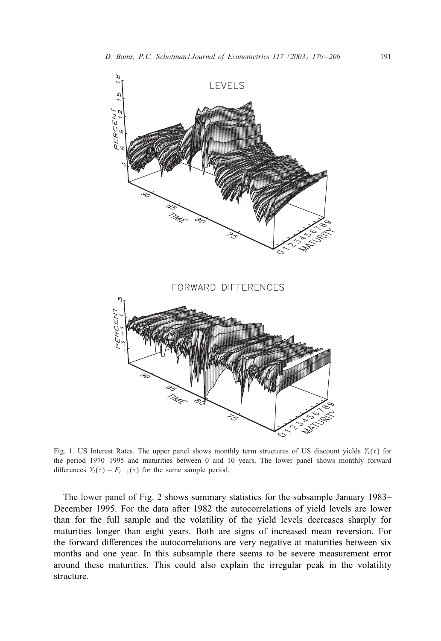<span id="page-13-0"></span>

Fig. 1. US Interest Rates. The upper panel shows monthly term structures of US discount yields  $Y_t(\tau)$  for the period 1970 –1995 and maturities between 0 and 10 years. The lower panel shows monthly forward differences  $Y_t(\tau) - F_{t-1}(\tau)$  for the same sample period.

The lower panel of Fig. 2 shows summary statistics for the subsample January 1983– December 1995. For the data after 1982 the autocorrelations of yield levels are lower than for the full sample and the volatility of the yield levels decreases sharply for maturities longer than eight years. Both are signs of increased mean reversion. For the forward differences the autocorrelations are very negative at maturities between six months and one year. In this subsample there seems to be severe measurement error around these maturities. This could also explain the irregular peak in the volatility structure.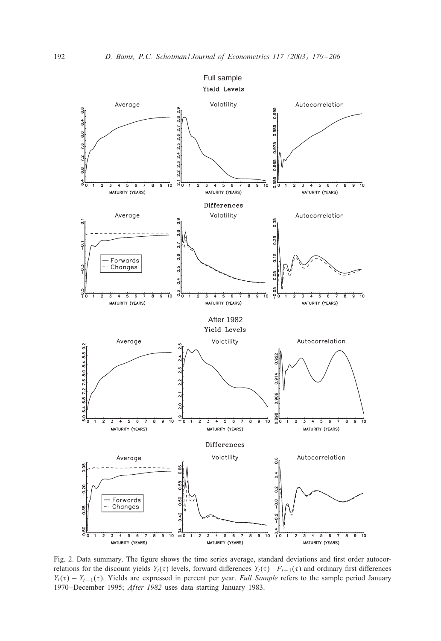<span id="page-14-0"></span>

Fig. 2. Data summary. The figure shows the time series average, standard deviations and first order autocorrelations for the discount yields Y<sub>t</sub>( $\tau$ ) levels, forward differences Y<sub>t</sub>( $\tau$ )−F<sub>t−1</sub>( $\tau$ ) and ordinary first differences  $Y_t(\tau) - Y_{t-1}(\tau)$ . Yields are expressed in percent per year. *Full Sample* refers to the sample period January 1970 –December 1995; *After 1982* uses data starting January 1983.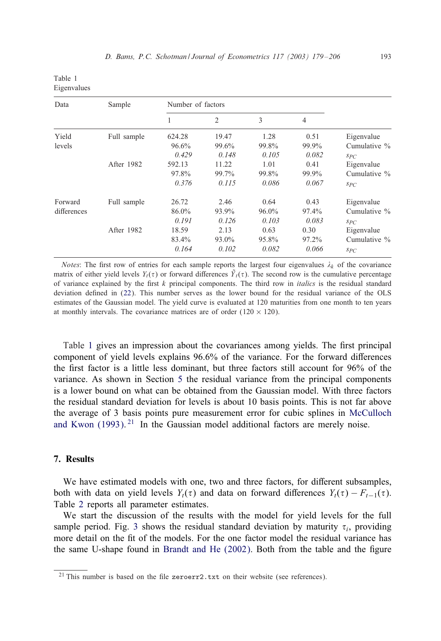<span id="page-15-0"></span>

| Table 1     |  |
|-------------|--|
| Eigenvalues |  |

| Data        | Sample      | Number of factors |                |       |                |              |
|-------------|-------------|-------------------|----------------|-------|----------------|--------------|
|             |             | 1                 | $\overline{2}$ | 3     | $\overline{4}$ |              |
| Yield       | Full sample | 624.28            | 19.47          | 1.28  | 0.51           | Eigenvalue   |
| levels      |             | 96.6%             | 99.6%          | 99.8% | 99.9%          | Cumulative % |
|             |             | 0.429             | 0.148          | 0.105 | 0.082          | SPC          |
|             | After 1982  | 592.13            | 11.22          | 1.01  | 0.41           | Eigenvalue   |
|             |             | 97.8%             | 99.7%          | 99.8% | 99.9%          | Cumulative % |
|             |             | 0.376             | 0.115          | 0.086 | 0.067          | $S_{PC}$     |
| Forward     | Full sample | 26.72             | 2.46           | 0.64  | 0.43           | Eigenvalue   |
| differences |             | 86.0%             | 93.9%          | 96.0% | 97.4%          | Cumulative % |
|             |             | 0.191             | 0.126          | 0.103 | 0.083          | SPC          |
|             | After 1982  | 18.59             | 2.13           | 0.63  | 0.30           | Eigenvalue   |
|             |             | 83.4%             | 93.0%          | 95.8% | 97.2%          | Cumulative % |
|             |             | 0.164             | 0.102          | 0.082 | 0.066          | SPC          |

*Notes*: The first row of entries for each sample reports the largest four eigenvalues  $\lambda_k$  of the covariance matrix of either yield levels  $Y_t(\tau)$  or forward differences  $\tilde{Y}_t(\tau)$ . The second row is the cumulative percentage of variance explained by the 1rst k principal components. The third row in *italics* is the residual standard deviation defined in (22). This number serves as the lower bound for the residual variance of the OLS estimates of the Gaussian model. The yield curve is evaluated at 120 maturities from one month to ten years at monthly intervals. The covariance matrices are of order  $(120 \times 120)$ .

Table 1 gives an impression about the covariances among yields. The first principal component of yield levels explains  $96.6\%$  of the variance. For the forward differences [the 1rst factor is a](#page-28-0) little less dominant, but three factors still account for 96% of the variance. As shown in Section 5 the residual variance from the principal components is a lower bound on what can be obtained from the Gaussian model. With three factors the residual standard deviation for levels is about 10 basis points. This is not far above the average of 3 basis points pure measurement error for cubic splines in McCulloch and Kwon (1993). <sup>21</sup> In the Gaussian model additional factors are merely noise.

# 7. Results

We have estimated models with one, two and three factors, for different subsamples, both with data on yield levels  $Y_t(\tau)$  and data on forward differences  $Y_t(\tau) - F_{t-1}(\tau)$ . Table 2 reports all parameter estimates.

We start the discussion of the results with the model for yield levels for the full sample period. Fig. 3 shows the residual standard deviation by maturity  $\tau_i$ , providing more detail on the fit of the models. For the one factor model the residual variance has the same U-shape found in Brandt and He (2002). Both from the table and the 1gure

<sup>&</sup>lt;sup>21</sup> This number is based on the file zeroerr2.txt on their website (see references).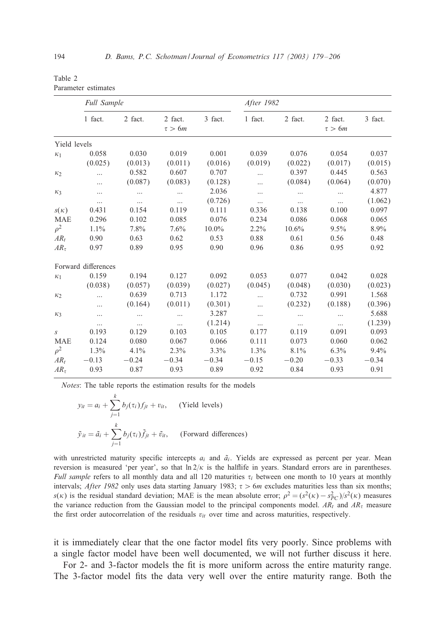<span id="page-16-0"></span>

| Table 2             |  |
|---------------------|--|
| Parameter estimates |  |

|                  | <b>Full Sample</b>  |          |                        |          | After 1982 |          |                        |         |
|------------------|---------------------|----------|------------------------|----------|------------|----------|------------------------|---------|
|                  | 1 fact.             | 2 fact.  | 2 fact.<br>$\tau > 6m$ | 3 fact.  | 1 fact.    | 2 fact.  | 2 fact.<br>$\tau > 6m$ | 3 fact. |
| Yield levels     |                     |          |                        |          |            |          |                        |         |
| $\kappa_1$       | 0.058               | 0.030    | 0.019                  | 0.001    | 0.039      | 0.076    | 0.054                  | 0.037   |
|                  | (0.025)             | (0.013)  | (0.011)                | (0.016)  | (0.019)    | (0.022)  | (0.017)                | (0.015) |
| $\kappa_2$       |                     | 0.582    | 0.607                  | 0.707    |            | 0.397    | 0.445                  | 0.563   |
|                  |                     | (0.087)  | (0.083)                | (0.128)  |            | (0.084)  | (0.064)                | (0.070) |
| $\kappa_3$       |                     | $\cdots$ | $\cdots$               | 2.036    |            | $\cdots$ | $\cdots$               | 4.877   |
|                  | $\cdots$            | $\cdots$ | $\cdots$               | (0.726)  | $\cdots$   | $\cdots$ | $\cdots$               | (1.062) |
| $s(\kappa)$      | 0.431               | 0.154    | 0.119                  | 0.111    | 0.336      | 0.138    | 0.100                  | 0.097   |
| <b>MAE</b>       | 0.296               | 0.102    | 0.085                  | 0.076    | 0.234      | 0.086    | 0.068                  | 0.065   |
| $\rho^2$         | 1.1%                | 7.8%     | 7.6%                   | $10.0\%$ | $2.2\%$    | 10.6%    | 9.5%                   | 8.9%    |
| $AR_t$           | 0.90                | 0.63     | 0.62                   | 0.53     | 0.88       | 0.61     | 0.56                   | 0.48    |
| $AR_{\tau}$      | 0.97                | 0.89     | 0.95                   | 0.90     | 0.96       | 0.86     | 0.95                   | 0.92    |
|                  | Forward differences |          |                        |          |            |          |                        |         |
| $\kappa_1$       | 0.159               | 0.194    | 0.127                  | 0.092    | 0.053      | 0.077    | 0.042                  | 0.028   |
|                  | (0.038)             | (0.057)  | (0.039)                | (0.027)  | (0.045)    | (0.048)  | (0.030)                | (0.023) |
| K <sub>2</sub>   |                     | 0.639    | 0.713                  | 1.172    |            | 0.732    | 0.991                  | 1.568   |
|                  |                     | (0.164)  | (0.011)                | (0.301)  |            | (0.232)  | (0.188)                | (0.396) |
| $K_3$            |                     | $\cdots$ | $\cdots$               | 3.287    | $\cdots$   |          | $\cdots$               | 5.688   |
|                  | $\cdots$            | $\cdots$ | $\cdots$               | (1.214)  | $\cdots$   | $\cdots$ | $\cdots$               | (1.239) |
| $\boldsymbol{S}$ | 0.193               | 0.129    | 0.103                  | 0.105    | 0.177      | 0.119    | 0.091                  | 0.093   |
| <b>MAE</b>       | 0.124               | 0.080    | 0.067                  | 0.066    | 0.111      | 0.073    | 0.060                  | 0.062   |
| $\rho^2$         | 1.3%                | 4.1%     | 2.3%                   | 3.3%     | 1.3%       | 8.1%     | 6.3%                   | 9.4%    |
| $AR_t$           | $-0.13$             | $-0.24$  | $-0.34$                | $-0.34$  | $-0.15$    | $-0.20$  | $-0.33$                | $-0.34$ |
| $AR_{\tau}$      | 0.93                | 0.87     | 0.93                   | 0.89     | 0.92       | 0.84     | 0.93                   | 0.91    |

*Notes*: The table reports the estimation results for the models

$$
y_{it} = a_i + \sum_{j=1}^{k} b_j(\tau_i) f_{jt} + v_{it}, \quad \text{(Yield levels)}
$$
\n
$$
\tilde{y}_{it} = \tilde{a}_i + \sum_{j=1}^{k} b_j(\tau_i) \tilde{f}_{jt} + \tilde{v}_{it}, \quad \text{(Forward differences)}
$$

with unrestricted maturity specific intercepts  $a_i$  and  $\tilde{a}_i$ . Yields are expressed as percent per year. Mean reversion is measured 'per year', so that  $\ln 2/\kappa$  is the halflife in years. Standard errors are in parentheses. *Full sample* refers to all monthly data and all 120 maturities  $\tau_i$  between one month to 10 years at monthly intervals; *After 1982* only uses data starting January 1983;  $\tau > 6m$  excludes maturities less than six months;  $s(\kappa)$  is the residual standard deviation; MAE is the mean absolute error;  $\rho^2 = (s^2(\kappa) - s_{PC}^2)/s^2(\kappa)$  measures the variance reduction from the Gaussian model to the principal components model.  $AR_t$  and  $AR_{\tau}$  measure the first order autocorrelation of the residuals  $v_{it}$  over time and across maturities, respectively.

it is immediately clear that the one factor model fits very poorly. Since problems with a single factor model have been well documented, we will not further discuss it here.

For 2- and 3-factor models the fit is more uniform across the entire maturity range. The 3-factor model fits the data very well over the entire maturity range. Both the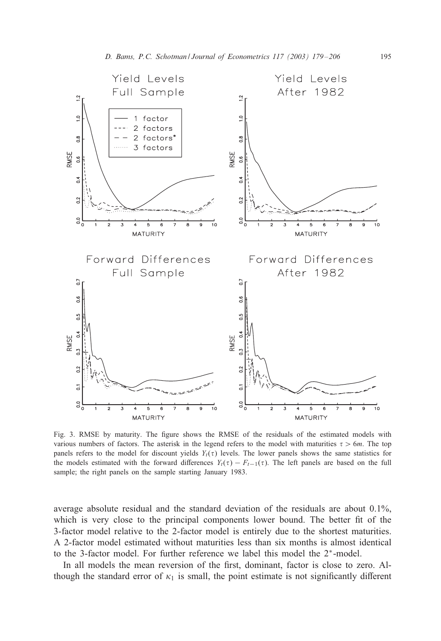

Fig. 3. RMSE by maturity. The figure shows the RMSE of the residuals of the estimated models with various numbers of factors. The asterisk in the legend refers to the model with maturities  $\tau > 6m$ . The top panels refers to the model for discount yields  $Y_t(\tau)$  levels. The lower panels shows the same statistics for the models estimated with the forward differences  $Y_t(\tau) - F_{t-1}(\tau)$ . The left panels are based on the full sample; the right panels on the sample starting January 1983.

average absolute residual and the standard deviation of the residuals are about 0.1%, which is very close to the principal components lower bound. The better fit of the 3-factor model relative to the 2-factor model is entirely due to the shortest maturities. A 2-factor model estimated without maturities less than six months is almost identical to the 3-factor model. For further reference we label this model the 2∗-model.

In all models the mean reversion of the first, dominant, factor is close to zero. Although the standard error of  $\kappa_1$  is small, the point estimate is not significantly different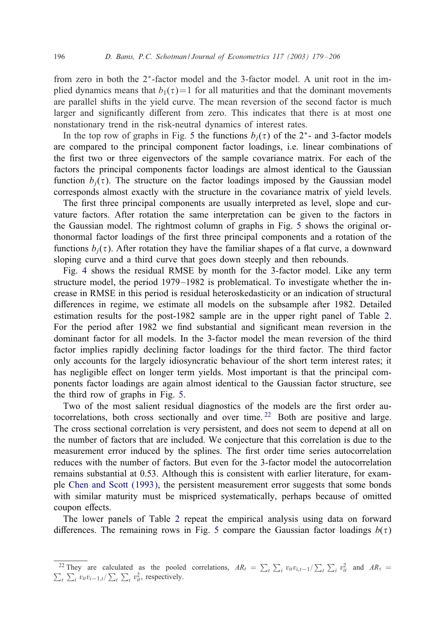from zero in both the  $2<sup>*</sup>$ -factor m[od](#page-20-0)el and the 3-factor model. A unit root in the implied dynamics means that  $b_1(\tau)=1$  for all maturities and that the dominant movements are parallel shifts in the yield curve. The mean reversion of the second factor is much larger and significantly different from zero. This indicates that there is at most one nonstationary trend in the risk-neutral dynamics of interest rates.

In the top row of graphs in Fig. 5 the functions  $b_i(\tau)$  of the  $2^*$ - and 3-factor models are compared to the principal component factor loadings, i.e. linear combinations of the first two or three eigenvectors of the sample covariance matrix. For each of the factors the principal components factor loadings are almost [ide](#page-20-0)ntical to the Gaussian function  $b_i(\tau)$ . The structure on the factor loadings imposed by the Gaussian model corresponds almost exactly with the structure in the covariance matrix of yield levels.

The first three principal components are usually interpreted as level, slope and curvature [fa](#page-19-0)ctors. After rotation the same interpretation can be given to the factors in the Gaussian model. The rightmost column of graphs in Fig. 5 shows the original orthonormal factor loadings of the 1rst three principal components and a rotation of the functions  $b_i(\tau)$ . After rotation they have the familiar shapes of a flat curve, a downw[ard](#page-16-0) sloping curve and a third curve that goes down steeply and then rebounds.

Fig. 4 shows the residual RMSE by month for the 3-factor model. Like any term structure model, the period 1979 –1982 is problematical. To investigate whether the increase in RMSE in this period is residual heteroskedasticity or an indication of structural differences in regime, we estimate all models on the subsample after 1982. Detailed estimation results for the post-1982 sample are in the upper right panel of Table 2. For the period after 1982 we find substantial and significant mean reversion in the dominant factor for all models. [In](#page-20-0) the 3-factor model the mean reversion of the third factor implies rapidly declining factor loadings for the third factor. The third factor only accounts for the largely idiosyncratic behaviour of the short term interest rates; it has negligible effect on longer term yields. Most important is that the principal components factor loadings are again almost identical to the Gaussian factor structure, see the third row of graphs in Fig. 5.

Two of the most salient residual diagnostics of the models are the first order autocorrelations, both cross sectionally and over time. <sup>22</sup> Both are positive and large. Th[e cross sectional correlati](#page-27-0)on is very persistent, and does not seem to depend at all on the number of factors that are included. We conjecture that this correlation is due to the measurement error induced by the splines. The first order time series autocorrelation reduces with the number of fa[cto](#page-16-0)rs. But even for the 3-factor model the autocorrelation remains substantial at 0.53. Although thi[s](#page-20-0) [is](#page-20-0) consistent with earlier literature, for example Chen and Scott (1993), the persistent measurement error suggests that some bonds with similar maturity must be mispriced systematically, perhaps because of omitted coupon effects.

The lower panels of Table 2 repeat the empirical analysis using data on forward differences. The remaining rows in Fig. 5 compare the Gaussian factor loadings  $b(\tau)$ 

<sup>&</sup>lt;sup>22</sup> They are calculated as the pooled correlations,  $AR_t = \sum_t \sum_i v_{it}v_{i,t-1}/\sum_t \sum_i v_{it}^2$ <br>  $\sum_i v_{it}v_{i-1,t}/\sum_t \sum_i v_{it}^2$ , respectively. and  $AR_{\tau}$  =  $\sum_i v_{it} v_{i-1,t} / \sum_t \sum_i v_{it}^2$ , respectively.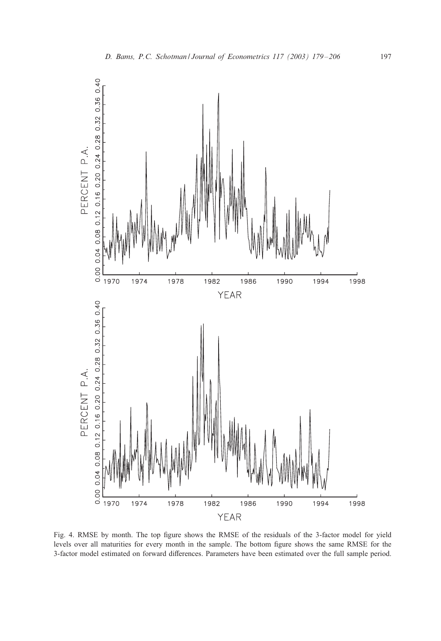<span id="page-19-0"></span>

Fig. 4. RMSE by month. The top figure shows the RMSE of the residuals of the 3-factor model for yield levels over all maturities for every month in the sample. The bottom 1gure shows the same RMSE for the 3-factor model estimated on forward differences. Parameters have been estimated over the full sample period.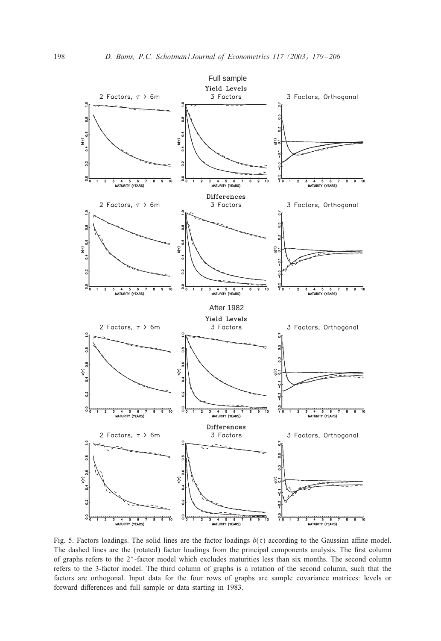<span id="page-20-0"></span>

Fig. 5. Factors loadings. The solid lines are the factor loadings  $b(\tau)$  according to the Gaussian affine model. The dashed lines are the (rotated) factor loadings from the principal components analysis. The first column of graphs refers to the 2∗-factor model which excludes maturities less than six months. The second column refers to the 3-factor model. The third column of graphs is a rotation of the second column, such that the factors are orthogonal. Input data for the four rows of graphs are sample covariance matrices: levels or forward differences and full sample or data starting in 1983.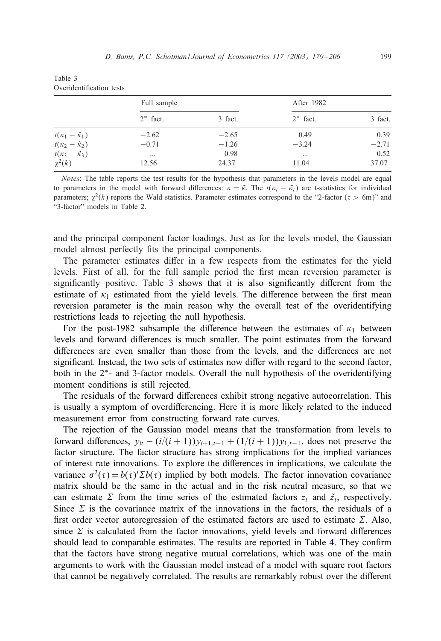Table 3

| Overidentification tests                         |             |         |             |         |  |  |
|--------------------------------------------------|-------------|---------|-------------|---------|--|--|
|                                                  | Full sample |         | After 1982  |         |  |  |
|                                                  | $2^*$ fact. | 3 fact. | $2^*$ fact. | 3 fact. |  |  |
| $t(\kappa_1-\tilde{\kappa}_1)$                   | $-2.62$     | $-2.65$ | 0.49        | 0.39    |  |  |
| $t(\kappa_2-\tilde{\kappa}_2)$                   | $-0.71$     | $-1.26$ | $-3.24$     | $-2.71$ |  |  |
| $\frac{t(\kappa_3-\tilde{\kappa}_3)}{\chi^2(k)}$ | $\cdots$    | $-0.98$ | $\cdots$    | $-0.52$ |  |  |
|                                                  | 12.56       | 24.37   | 11.04       | 37.07   |  |  |

*Notes*: The table reports the test results for the hypothesis that parameters in the levels model are equal to parameters in the model with forward differences:  $\kappa = \tilde{\kappa}$ . The  $t(\kappa_i - \tilde{\kappa}_i)$  are t-statistics for individual parameters;  $\chi^2(k)$  reports the Wald statistics. Parameter estimates correspond to the "2-factor ( $\tau > 6$ m)" and "3-factor" models in Table 2.

and the principal component factor loadings. Just as for the levels model, the Gaussian model almost perfectly fits the principal components.

The parameter estimates differ in a few respects from the estimates for the yield levels. First of all, for the full sample period the first mean reversion parameter is significantly positive. Table  $3$  shows that it is also significantly different from the estimate of  $\kappa_1$  estimated from the yield levels. The difference between the first mean reversion parameter is the main reason why the overall test of the overidentifying restrictions leads to rejecting the null hypothesis.

For the post-1982 subsample the difference between the estimates of  $\kappa_1$  between levels and forward differences is much smaller. The point estimates from the forward differences are even smaller than those from the levels, and the differences are not significant. Instead, the two sets of estimates now differ with regard to the second factor, both in the 2<sup>∗</sup>- and 3-factor models. Overall the null hypothesis of the overidentifying moment conditions is still rejected.

The residuals of the forward differences exhibit strong negative autocorrelation. This is usually a symptom of overdifferencing. Here it is more likely related to the induced measurement error from constructing forward rate curves.

The rejection of the Gaussian model means that the transformation from levels to forward differences,  $y_{it} - (i/(i + 1))y_{i+1,t-1} + (1/(i + 1))y_{1,t-1}$ , does not preserve the factor structure. The factor structure has strong implications for the implied variances of interest rate innovations. To explore the differences in implications, we calculate the variance  $\sigma^2(\tau) = b(\tau) \Sigma b(\tau)$  implied by both models. The factor innovation covariance matrix should be the same in the actual and in the risk neutral mea[su](#page-22-0)re, so that we can estimate  $\Sigma$  from the time series of the estimated factors  $z_t$  and  $\tilde{z}_t$ , respectively. Since  $\Sigma$  is the covariance matrix of the innovations in the factors, the residuals of a first order vector autoregression of the estimated factors are used to estimate  $\Sigma$ . Also, since  $\Sigma$  is calculated from the factor innovations, yield levels and forward differences should lead to comparable estimates. The results are reported in Table 4. They confirm that the factors have strong negative mutual correlations, which was one of the main arguments to work with the Gaussian model instead of a model with square root factors that cannot be negatively correlated. The results are remarkably robust over the different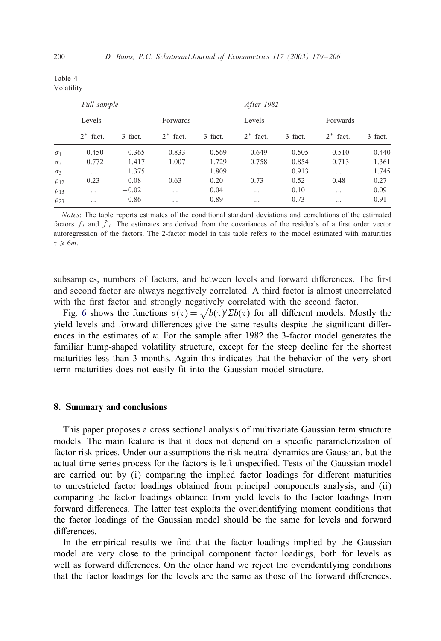| Table 4    |  |
|------------|--|
| Volatility |  |

|             | Full sample |         |             |         | After 1982  |         |             |         |
|-------------|-------------|---------|-------------|---------|-------------|---------|-------------|---------|
|             | Levels      |         | Forwards    |         | Levels      |         | Forwards    |         |
|             | $2^*$ fact. | 3 fact. | $2^*$ fact. | 3 fact. | $2^*$ fact. | 3 fact. | $2^*$ fact. | 3 fact. |
| $\sigma_1$  | 0.450       | 0.365   | 0.833       | 0.569   | 0.649       | 0.505   | 0.510       | 0.440   |
| $\sigma$    | 0.772       | 1.417   | 1.007       | 1.729   | 0.758       | 0.854   | 0.713       | 1.361   |
| $\sigma_3$  | $\cdots$    | 1.375   | $\cdots$    | 1.809   | $\cdots$    | 0.913   | $\cdots$    | 1.745   |
| $\rho_{12}$ | $-0.23$     | $-0.08$ | $-0.63$     | $-0.20$ | $-0.73$     | $-0.52$ | $-0.48$     | $-0.27$ |
| $\rho_{13}$ | $\cdots$    | $-0.02$ | $\cdots$    | 0.04    | $\cdots$    | 0.10    | $\cdots$    | 0.09    |
| $\rho_{23}$ | $\cdots$    | $-0.86$ | $\cdots$    | $-0.89$ | $\cdots$    | $-0.73$ | $\cdots$    | $-0.91$ |

*Notes*: The table reports estimates of the conditional standard deviations and correlations of the estimated factors  $f_t$  and  $\tilde{f}_t$ . The estimates are derived from the covariances of the residuals of a first order vector autoregression of the factors. The 2-factor model in this table refers to the model estimated with maturities  $\tau > 6m$ 

subsamples, numbers of factors, and between levels and forward differences. The first and second factor are always negatively correlated. A third factor is almost uncorrelated with the first factor and strongly negatively correlated with the second factor.

Fig. 6 shows the functions  $\sigma(\tau) = \sqrt{b(\tau) \Sigma b(\tau)}$  for all different models. Mostly the yield levels and forward differences give the same results despite the significant differences in the estimates of  $\kappa$ . For the sample after 1982 the 3-factor model generates the familiar hump-shaped volatility structure, except for the steep decline for the shortest maturities less than 3 months. Again this indicates that the behavior of the very short term maturities does not easily fit into the Gaussian model structure.

#### 8. Summary and conclusions

This paper proposes a cross sectional analysis of multivariate Gaussian term structure models. The main feature is that it does not depend on a specific parameterization of factor risk prices. Under our assumptions the risk neutral dynamics are Gaussian, but the actual time series process for the factors is left unspecified. Tests of the Gaussian model are carried out by  $(i)$  comparing the implied factor loadings for different maturities to unrestricted factor loadings obtained from principal components analysis, and (ii) comparing the factor loadings obtained from yield levels to the factor loadings from forward differences. The latter test exploits the overidentifying moment conditions that the factor loadings of the Gaussian model should be the same for levels and forward differences.

In the empirical results we find that the factor loadings implied by the Gaussian model are very close to the principal component factor loadings, both for levels as well as forward differences. On the other hand we reject the overidentifying conditions that the factor loadings for the levels are the same as those of the forward differences.

<span id="page-22-0"></span>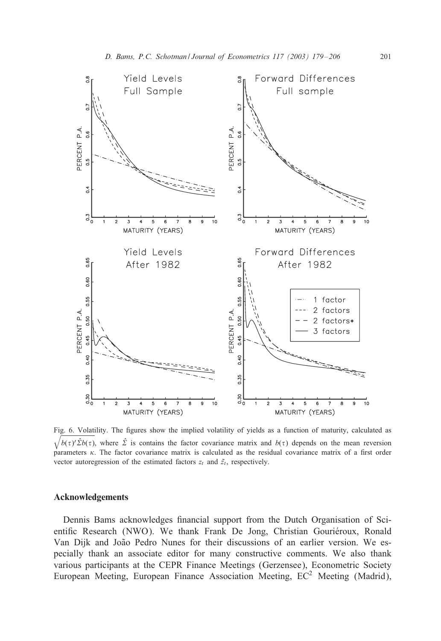

Fig. 6. Volatility. The 1gures show the implied volatility of yields as a function of maturity, calculated as  $\sqrt{b(\tau)'\hat{\Sigma}b(\tau)}$ , where  $\hat{\Sigma}$  is contains the factor covariance matrix and  $b(\tau)$  depends on the mean reversion parameters  $\kappa$ . The factor covariance matrix is calculated as the residual covariance matrix of a first order vector autoregression of the estimated factors  $z_t$  and  $\tilde{z}_t$ , respectively.

#### Acknowledgements

Dennis Bams acknowledges financial support from the Dutch Organisation of Scientific Research (NWO). We thank Frank De Jong, Christian Gouriéroux, Ronald Van Dijk and João Pedro Nunes for their discussions of an earlier version. We especially thank an associate editor for many constructive comments. We also thank various participants at the CEPR Finance Meetings (Gerzensee), Econometric Society European Meeting, European Finance Association Meeting, EC<sup>2</sup> Meeting (Madrid),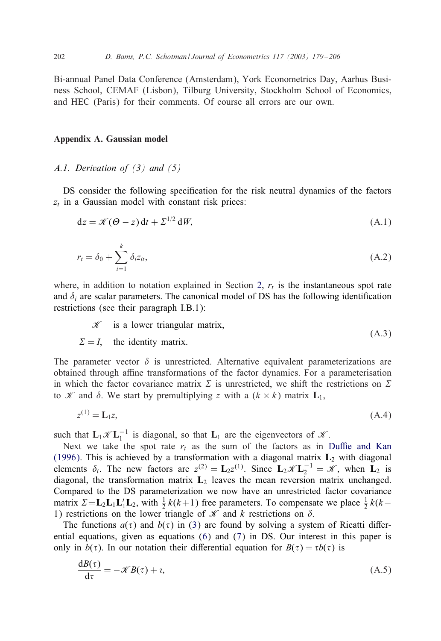<span id="page-24-0"></span>Bi-annual Panel Data Conference (Amsterdam), York Econometrics Day, Aarhus Business School, CEMAF (Lisbon), Tilburg University, Stockholm School of Economics, and HEC (Paris) for their comments. Of course all errors are our own.

#### Appendix A. Gaussian model

## *A.1. Derivation of (3) and (5)*

DS consider the following specification for the risk neutral dynamics of the factors  $z_t$  in a Gaussian model with constant risk prices:

$$
dz = \mathcal{K}(\Theta - z) dt + \Sigma^{1/2} dW,
$$
 (A.1)

$$
r_t = \delta_0 + \sum_{i=1}^k \delta_i z_{it},\tag{A.2}
$$

where, in addition to notation explained in Section 2,  $r_t$  is the instantaneous spot rate and  $\delta_i$  are scalar parameters. The canonical model of DS has the following identification restrictions (see their paragraph I.B.1):

$$
\mathcal{K} \quad \text{is a lower triangular matrix}, \tag{A.3}
$$

 $\Sigma = I$ , the identity matrix. (A.3)

The parameter vector  $\delta$  is unrestricted. Alternative equivalent parameterizations are obtained through affine transformations of the factor dynamics. For a parameterisation in which the factor covariance matrix  $\Sigma$  is unrestricted, we shift the [restrictions on](#page-27-0)  $\Sigma$ to *X* and  $\delta$ . We start by premultiplying z with a  $(k \times k)$  matrix  $L_1$ ,

$$
z^{(1)} = L_1 z,\tag{A.4}
$$

such that  $L_1 \mathcal{K} L_1^{-1}$  is diagonal, so that  $L_1$  are the eigenvectors of  $\mathcal{K}$ .

Next we take the spot rate  $r_t$  as the sum of the factors as in Duffie and Kan (1996). This is achieved by a transformation with a diagonal matrix  $L_2$  with diagonal elements  $\delta_i$ . The new factors are  $z^{(2)} = L_2 z^{(1)}$  $z^{(2)} = L_2 z^{(1)}$ . Since  $L_2 \mathcal{K} L_2^{-1} = \mathcal{K}$ , when  $L_2$  is diagonal, [t](#page-5-0)he transformation matrix  $L_2$  $L_2$  leaves the mean reversion matrix unchanged. Compared to the DS parameterization we now have an unrestricted factor covariance matrix  $\Sigma = L_2 L_1 L_1 L_2$ , with  $\frac{1}{2} k(k+1)$  free parameters. To compensate we place  $\frac{1}{2} k(k-1)$ 1) restrictions on the lower triangle of  $\mathcal K$  and k restrictions on  $\delta$ .

The functions  $a(\tau)$  and  $b(\tau)$  in (3) are found by solving a system of Ricatti differential equations, given as equations (6) and (7) in DS. Our interest in this paper is only in  $b(\tau)$ . In our notation their differential equation for  $B(\tau) = \tau b(\tau)$  is

$$
\frac{dB(\tau)}{d\tau} = -\mathcal{K}B(\tau) + i,\tag{A.5}
$$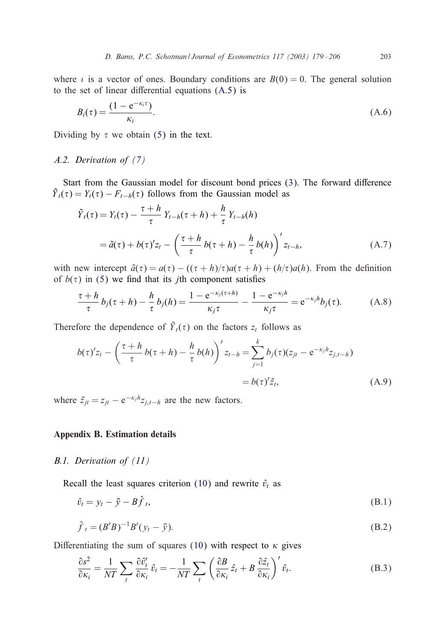<span id="page-25-0"></span>where  $\ell$  is a vector of on[es](#page-4-0). Boundary conditions are  $B(0) = 0$ . The general solution to the set of linear differential equations  $(A.5)$  is

$$
B_i(\tau) = \frac{(1 - e^{-\kappa_i \tau})}{\kappa_i}.
$$
\n(A.6)

Dividing by  $\tau$  we obtain (5) in the text.

# *A.2. Derivation of (7)*

Start from the Gaussian model for discount bond prices  $(3)$ . The forward difference  $\tilde{Y}_t(\tau) = Y_t(\tau) - F_{t-h}(\tau)$  follows from the Gaussian model as

$$
\tilde{Y}_t(\tau) = Y_t(\tau) - \frac{\tau + h}{\tau} Y_{t-h}(\tau + h) + \frac{h}{\tau} Y_{t-h}(h)
$$
\n
$$
= \tilde{a}(\tau) + b(\tau)' z_t - \left(\frac{\tau + h}{\tau} b(\tau + h) - \frac{h}{\tau} b(h)\right)' z_{t-h}, \tag{A.7}
$$

with new intercept  $\tilde{a}(\tau) = a(\tau) - ((\tau + h)/\tau)a(\tau + h) + (h/\tau)a(h)$ . From the definition of  $b(\tau)$  in (5) we find that its *j*th component satisfies

$$
\frac{\tau+h}{\tau}b_j(\tau+h)-\frac{h}{\tau}b_j(h)=\frac{1-e^{-\kappa_j(\tau+h)}}{\kappa_j\tau}-\frac{1-e^{-\kappa_jh}}{\kappa_j\tau}=e^{-\kappa_jh}b_j(\tau). \hspace{1cm} (A.8)
$$

Therefore the dependence of  $\tilde{Y}_t(\tau)$  on the factors  $z_t$  follows as

$$
b(\tau)'z_t - \left(\frac{\tau + h}{\tau}b(\tau + h) - \frac{h}{\tau}b(h)\right)'z_{t-h} = \sum_{j=1}^k b_j(\tau)(z_{jt} - e^{-\kappa_j h}z_{j,t-h})
$$
  
=  $b(\tau)'\tilde{z}_t,$  (A.9)

where  $\tilde{z}_{jt} = z_{jt} - e^{-\kappa_j h} z_{j,t-h}$  are the new factors.

## Appendix B. Estimation details

#### *B.1. Derivation of (11)*

Recall the least squares criterion [\(10](#page-8-0)) and rewrite  $\hat{v}_t$  as

$$
\hat{v}_t = y_t - \bar{y} - B\hat{f}_t,\tag{B.1}
$$

$$
\hat{f}_t = (B'B)^{-1}B'(y_t - \bar{y}).
$$
\n(B.2)

Differentiating the sum of squares (10) with respect to  $\kappa$  gives

$$
\frac{\partial s^2}{\partial \kappa_i} = \frac{1}{NT} \sum_t \frac{\partial \hat{v}'_t}{\partial \kappa_i} \hat{v}_t = -\frac{1}{NT} \sum_t \left( \frac{\partial B}{\partial \kappa_i} \hat{z}_t + B \frac{\partial \hat{z}_t}{\partial \kappa_i} \right)' \hat{v}_t.
$$
(B.3)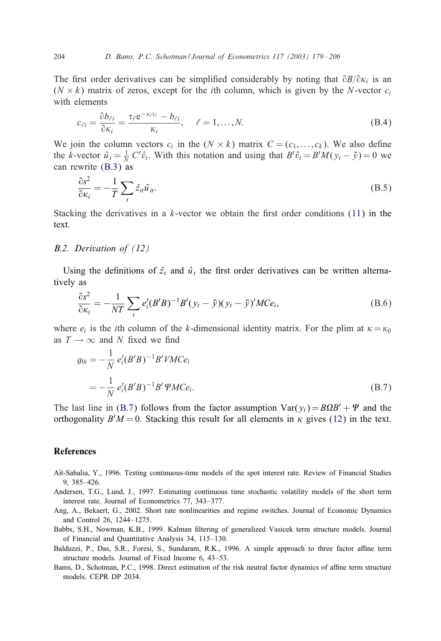<span id="page-26-0"></span>The first order derivatives can be simplified considerably by noting that  $\partial B/\partial \kappa_i$  is an  $(N \times k)$  matrix of zeros, except for the *i*th column, which is given by the N-vector c<sub>i</sub> with elemen[ts](#page-25-0)

$$
c_{\ell i} = \frac{\partial b_{\ell i}}{\partial \kappa_i} = \frac{\tau_{\ell} e^{-\kappa_i \tau_{\ell}} - b_{\ell i}}{\kappa_i}, \quad \ell = 1, ..., N.
$$
 (B.4)

We join the column vectors  $c_i$  in the  $(N \times k)$  matrix  $C = (c_1, \ldots, c_k)$ . We also define the k-vector  $\hat{u}_t = \frac{1}{N} C' \hat{v}_t$ . With this notation and using that  $B' \hat{v}_t = B'M(y_t - \bar{y}) = 0$  we can rewrite (B.3) as

$$
\frac{\partial s^2}{\partial \kappa_i} = -\frac{1}{T} \sum_t \hat{z}_{it} \hat{u}_{it}.
$$
\n(B.5)

Stacking the derivatives in a k-vector we obtain the first order conditions  $(11)$  in the text.

# *B.2. Derivation of (12)*

Using the definitions of  $\hat{z}_t$  and  $\hat{u}_t$  the first order derivatives can be written alternatively as

$$
\frac{\partial s^2}{\partial \kappa_i} = -\frac{1}{NT} \sum_t e'_i (B'B)^{-1} B'(y_t - \bar{y})(y_t - \bar{y})' MCe_i,
$$
\n(B.6)

where  $e_i$  is the *i*th column of the k-dimensional identity matrix. For the plim at  $\kappa = \kappa_0$ as  $T \rightarrow \infty$  and N fixed we find

$$
g_{0i} = -\frac{1}{N} e'_i (B'B)^{-1} B' V M C e_i
$$
  
= 
$$
-\frac{1}{N} e'_i (B'B)^{-1} B' W C e_i.
$$
 (B.7)

The last line in (B.7) follows from the factor assumption  $Var(y_t) = B\Omega B' + \Psi$  and the orthogonality  $B'M = 0$ . Stacking this result for all elements in  $\kappa$  gives (12) in the text.

# References

- Aït-Sahalia, Y., 1996. Testing continuous-time models of the spot interest rate. Review of Financial Studies 9, 385–426.
- Andersen, T.G., Lund, J., 1997. Estimating continuous time stochastic volatility models of the short term interest rate. Journal of Econometrics 77, 343–377.
- Ang, A., Bekaert, G., 2002. Short rate nonlinearities and regime switches. Journal of Economic Dynamics and Control 26, 1244–1275.
- Babbs, S.H., Nowman, K.B., 1999. Kalman 1ltering of generalized Vasicek term structure models. Journal of Financial and Quantitative Analysis 34, 115–130.
- Balduzzi, P., Das, S.R., Foresi, S., Sundaram, R.K., 1996. A simple approach to three factor affine term structure models. Journal of Fixed Income 6, 43–53.
- Bams, D., Schotman, P.C., 1998. Direct estimation of the risk neutral factor dynamics of affine term structure models. CEPR DP 2034.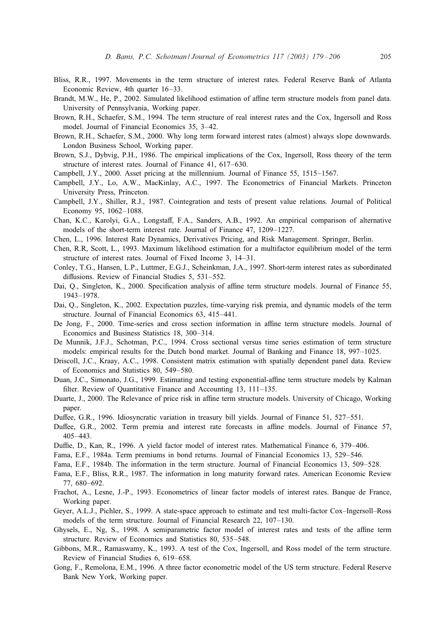- <span id="page-27-0"></span>Bliss, R.R., 1997. Movements in the term structure of interest rates. Federal Reserve Bank of Atlanta Economic Review, 4th quarter 16-33.
- Brandt, M.W., He, P., 2002. Simulated likelihood estimation of affine term structure models from panel data. University of Pennsylvania, Working paper.
- Brown, R.H., Schaefer, S.M., 1994. The term structure of real interest rates and the Cox, Ingersoll and Ross model. Journal of Financial Economics 35, 3–42.
- Brown, R.H., Schaefer, S.M., 2000. Why long term forward interest rates (almost) always slope downwards. London Business School, Working paper.
- Brown, S.J., Dybvig, P.H., 1986. The empirical implications of the Cox, Ingersoll, Ross theory of the term structure of interest rates. Journal of Finance 41, 617–630.
- Campbell, J.Y., 2000. Asset pricing at the millennium. Journal of Finance 55, 1515–1567.
- Campbell, J.Y., Lo, A.W., MacKinlay, A.C., 1997. The Econometrics of Financial Markets. Princeton University Press, Princeton.
- Campbell, J.Y., Shiller, R.J., 1987. Cointegration and tests of present value relations. Journal of Political Economy 95, 1062–1088.
- Chan, K.C., Karolyi, G.A., Longstaff, F.A., Sanders, A.B., 1992. An empirical comparison of alternative models of the short-term interest rate. Journal of Finance 47, 1209–1227.
- Chen, L., 1996. Interest Rate Dynamics, Derivatives Pricing, and Risk Management. Springer, Berlin.
- Chen, R.R, Scott, L., 1993. Maximum likelihood estimation for a multifactor equilibrium model of the term structure of interest rates. Journal of Fixed Income 3, 14–31.
- Conley, T.G., Hansen, L.P., Luttmer, E.G.J., Scheinkman, J.A., 1997. Short-term interest rates as subordinated diffusions. Review of Financial Studies 5, 531–552.
- Dai, O., Singleton, K., 2000. Specification analysis of affine term structure models. Journal of Finance 55, 1943–1978.
- Dai, Q., Singleton, K., 2002. Expectation puzzles, time-varying risk premia, and dynamic models of the term structure. Journal of Financial Economics 63, 415–441.
- De Jong, F., 2000. Time-series and cross section information in affine term structure models. Journal of Economics and Business Statistics 18, 300–314.
- De Munnik, J.F.J., Schotman, P.C., 1994. Cross sectional versus time series estimation of term structure models: empirical results for the Dutch bond market. Journal of Banking and Finance 18, 997–1025.
- Driscoll, J.C., Kraay, A.C., 1998. Consistent matrix estimation with spatially dependent panel data. Review of Economics and Statistics 80, 549–580.
- Duan, J.C., Simonato, J.G., 1999. Estimating and testing exponential-affine term structure models by Kalman filter. Review of Quantitative Finance and Accounting 13, 111–135.
- Duarte, J., 2000. The Relevance of price risk in affine term structure models. University of Chicago, Working paper.
- Duffee, G.R., 1996. Idiosyncratic variation in treasury bill yields. Journal of Finance 51, 527-551.
- Duffee, G.R., 2002. Term premia and interest rate forecasts in affine models. Journal of Finance 57, 405–443.
- Duffie, D., Kan, R., 1996. A yield factor model of interest rates. Mathematical Finance 6, 379–406.
- Fama, E.F., 1984a. Term premiums in bond returns. Journal of Financial Economics 13, 529–546.
- Fama, E.F., 1984b. The information in the term structure. Journal of Financial Economics 13, 509–528.
- Fama, E.F., Bliss, R.R., 1987. The information in long maturity forward rates. American Economic Review 77, 680–692.
- Frachot, A., Lesne, J.-P., 1993. Econometrics of linear factor models of interest rates. Banque de France, Working paper.
- Geyer, A.L.J., Pichler, S., 1999. A state-space approach to estimate and test multi-factor Cox–Ingersoll–Ross models of the term structure. Journal of Financial Research 22, 107–130.
- Ghysels, E., Ng, S., 1998. A semiparametric factor model of interest rates and tests of the affine term structure. Review of Economics and Statistics 80, 535–548.
- Gibbons, M.R., Ramaswamy, K., 1993. A test of the Cox, Ingersoll, and Ross model of the term structure. Review of Financial Studies 6, 619–658.
- Gong, F., Remolona, E.M., 1996. A three factor econometric model of the US term structure. Federal Reserve Bank New York, Working paper.